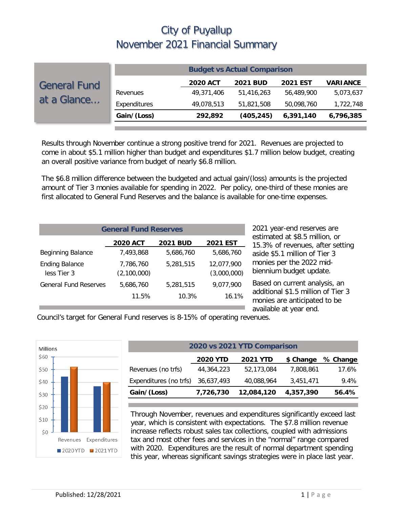|                                    | <b>Budget vs Actual Comparison</b> |                 |                 |                 |                 |  |  |
|------------------------------------|------------------------------------|-----------------|-----------------|-----------------|-----------------|--|--|
| <b>General Fund</b><br>at a Glance |                                    | <b>2020 ACT</b> | <b>2021 BUD</b> | <b>2021 EST</b> | <b>VARIANCE</b> |  |  |
|                                    | Revenues                           | 49,371,406      | 51,416,263      | 56,489,900      | 5,073,637       |  |  |
|                                    | Expenditures                       | 49,078,513      | 51,821,508      | 50,098,760      | 1,722,748       |  |  |
|                                    | Gain/(Loss)                        | 292,892         | (405, 245)      | 6,391,140       | 6,796,385       |  |  |

Results through November continue a strong positive trend for 2021. Revenues are projected to come in about \$5.1 million higher than budget and expenditures \$1.7 million below budget, creating an overall positive variance from budget of nearly \$6.8 million.

The \$6.8 million difference between the budgeted and actual gain/(loss) amounts is the projected amount of Tier 3 monies available for spending in 2022. Per policy, one-third of these monies are first allocated to General Fund Reserves and the balance is available for one-time expenses.

| <b>General Fund Reserves</b>         |                          |                 |                           |  |  |  |
|--------------------------------------|--------------------------|-----------------|---------------------------|--|--|--|
|                                      | <b>2020 ACT</b>          | <b>2021 BUD</b> | <b>2021 EST</b>           |  |  |  |
| <b>Beginning Balance</b>             | 7,493,868                | 5,686,760       | 5,686,760                 |  |  |  |
| <b>Ending Balance</b><br>less Tier 3 | 7,786,760<br>(2,100,000) | 5,281,515       | 12,077,900<br>(3,000,000) |  |  |  |
| <b>General Fund Reserves</b>         | 5.686.760                | 5,281,515       | 9,077,900                 |  |  |  |
|                                      | 11.5%                    | 10.3%           | 16.1%                     |  |  |  |

2021 year-end reserves are estimated at \$8.5 million, or 15.3% of revenues, after setting aside \$5.1 million of Tier 3 monies per the 2022 midbiennium budget update.

Based on current analysis, an additional \$1.5 million of Tier 3 monies are anticipated to be available at year end.

Council's target for General Fund reserves is 8-15% of operating revenues.



| 2020 vs 2021 YTD Comparison                                  |            |            |           |       |  |  |  |
|--------------------------------------------------------------|------------|------------|-----------|-------|--|--|--|
| <b>2020 YTD</b><br>\$ Change<br>% Change<br><b>2021 YTD</b>  |            |            |           |       |  |  |  |
| Revenues (no trfs)                                           | 44,364,223 | 52,173,084 | 7.808.861 | 17.6% |  |  |  |
| Expenditures (no trfs)                                       | 36,637,493 | 40,088,964 | 3,451,471 | 9.4%  |  |  |  |
| Gain/(Loss)<br>12,084,120<br>4,357,390<br>7,726,730<br>56.4% |            |            |           |       |  |  |  |

Through November, revenues and expenditures significantly exceed last year, which is consistent with expectations. The \$7.8 million revenue increase reflects robust sales tax collections, coupled with admissions tax and most other fees and services in the "normal" range compared with 2020. Expenditures are the result of normal department spending this year, whereas significant savings strategies were in place last year.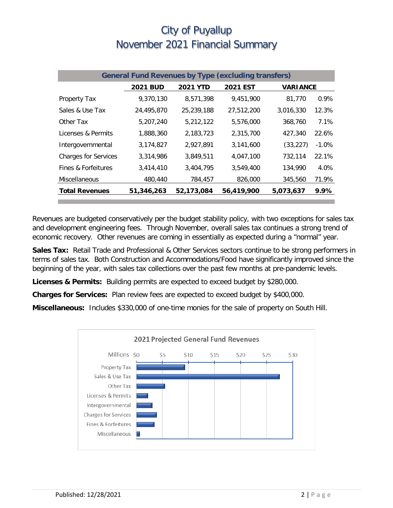| <b>General Fund Revenues by Type (excluding transfers)</b> |                 |                 |                 |                 |          |  |
|------------------------------------------------------------|-----------------|-----------------|-----------------|-----------------|----------|--|
|                                                            | <b>2021 BUD</b> | <b>2021 YTD</b> | <b>2021 EST</b> | <b>VARIANCE</b> |          |  |
| Property Tax                                               | 9,370,130       | 8,571,398       | 9,451,900       | 81,770          | $0.9\%$  |  |
| Sales & Use Tax                                            | 24,495,870      | 25,239,188      | 27,512,200      | 3,016,330       | 12.3%    |  |
| Other Tax                                                  | 5,207,240       | 5,212,122       | 5,576,000       | 368,760         | 7.1%     |  |
| Licenses & Permits                                         | 1,888,360       | 2,183,723       | 2.315.700       | 427,340         | 22.6%    |  |
| Intergovernmental                                          | 3,174,827       | 2,927,891       | 3,141,600       | (33, 227)       | $-1.0\%$ |  |
| <b>Charges for Services</b>                                | 3,314,986       | 3,849,511       | 4,047,100       | 732,114         | 22.1%    |  |
| Fines & Forfeitures                                        | 3,414,410       | 3,404,795       | 3,549,400       | 134,990         | 4.0%     |  |
| Miscellaneous                                              | 480,440         | 784,457         | 826,000         | 345,560         | 71.9%    |  |
| <b>Total Revenues</b>                                      | 51,346,263      | 52,173,084      | 56,419,900      | 5,073,637       | 9.9%     |  |

Revenues are budgeted conservatively per the budget stability policy, with two exceptions for sales tax and development engineering fees. Through November, overall sales tax continues a strong trend of economic recovery. Other revenues are coming in essentially as expected during a "normal" year.

**Sales Tax:** Retail Trade and Professional & Other Services sectors continue to be strong performers in terms of sales tax. Both Construction and Accommodations/Food have significantly improved since the beginning of the year, with sales tax collections over the past few months at pre-pandemic levels.

**Licenses & Permits:** Building permits are expected to exceed budget by \$280,000.

**Charges for Services:** Plan review fees are expected to exceed budget by \$400,000.

**Miscellaneous:** Includes \$330,000 of one-time monies for the sale of property on South Hill.

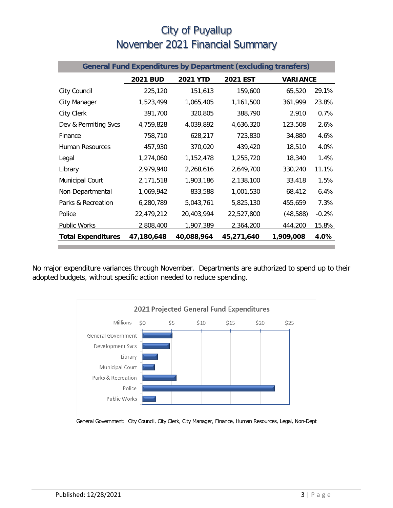| <b>General Fund Expenditures by Department (excluding transfers)</b> |                 |                 |                 |                 |         |
|----------------------------------------------------------------------|-----------------|-----------------|-----------------|-----------------|---------|
|                                                                      | <b>2021 BUD</b> | <b>2021 YTD</b> | <b>2021 EST</b> | <b>VARIANCE</b> |         |
| City Council                                                         | 225,120         | 151,613         | 159,600         | 65,520          | 29.1%   |
| City Manager                                                         | 1,523,499       | 1,065,405       | 1,161,500       | 361,999         | 23.8%   |
| <b>City Clerk</b>                                                    | 391,700         | 320,805         | 388,790         | 2,910           | 0.7%    |
| Dev & Permiting Svcs                                                 | 4,759,828       | 4,039,892       | 4,636,320       | 123,508         | 2.6%    |
| Finance                                                              | 758,710         | 628,217         | 723,830         | 34,880          | 4.6%    |
| Human Resources                                                      | 457,930         | 370,020         | 439,420         | 18,510          | 4.0%    |
| Legal                                                                | 1,274,060       | 1,152,478       | 1,255,720       | 18,340          | 1.4%    |
| Library                                                              | 2,979,940       | 2,268,616       | 2,649,700       | 330,240         | 11.1%   |
| <b>Municipal Court</b>                                               | 2,171,518       | 1,903,186       | 2,138,100       | 33,418          | 1.5%    |
| Non-Departmental                                                     | 1,069,942       | 833,588         | 1,001,530       | 68,412          | 6.4%    |
| Parks & Recreation                                                   | 6,280,789       | 5,043,761       | 5,825,130       | 455,659         | 7.3%    |
| Police                                                               | 22,479,212      | 20,403,994      | 22,527,800      | (48, 588)       | $-0.2%$ |
| Public Works                                                         | 2,808,400       | 1,907,389       | 2,364,200       | 444,200         | 15.8%   |
| <b>Total Expenditures</b>                                            | 47,180,648      | 40,088,964      | 45,271,640      | 1,909,008       | 4.0%    |

No major expenditure variances through November. Departments are authorized to spend up to their adopted budgets, without specific action needed to reduce spending.



General Government: City Council, City Clerk, City Manager, Finance, Human Resources, Legal, Non-Dept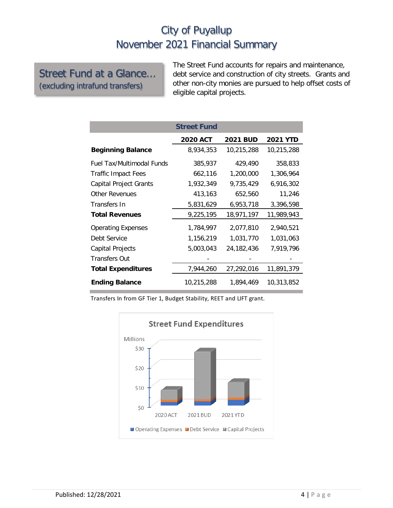Street Fund at a Glance… (excluding intrafund transfers)

The Street Fund accounts for repairs and maintenance, debt service and construction of city streets. Grants and other non-city monies are pursued to help offset costs of eligible capital projects.

|                                  | <b>Street Fund</b> |                 |                 |
|----------------------------------|--------------------|-----------------|-----------------|
|                                  | <b>2020 ACT</b>    | <b>2021 BUD</b> | <b>2021 YTD</b> |
| <b>Beginning Balance</b>         | 8,934,353          | 10,215,288      | 10,215,288      |
| <b>Fuel Tax/Multimodal Funds</b> | 385,937            | 429,490         | 358,833         |
| <b>Traffic Impact Fees</b>       | 662,116            | 1,200,000       | 1,306,964       |
| Capital Project Grants           | 1,932,349          | 9,735,429       | 6,916,302       |
| Other Revenues                   | 413,163            | 652,560         | 11,246          |
| Transfers In                     | 5,831,629          | 6,953,718       | 3,396,598       |
| <b>Total Revenues</b>            | 9,225,195          | 18,971,197      | 11,989,943      |
| <b>Operating Expenses</b>        | 1,784,997          | 2.077.810       | 2.940.521       |
| Debt Service                     | 1,156,219          | 1,031,770       | 1,031,063       |
| Capital Projects                 | 5,003,043          | 24,182,436      | 7,919,796       |
| Transfers Out                    |                    |                 |                 |
| <b>Total Expenditures</b>        | 7,944,260          | 27,292,016      | 11,891,379      |
| <b>Ending Balance</b>            | 10,215,288         | 1,894,469       | 10,313,852      |

Transfers In from GF Tier 1, Budget Stability, REET and LIFT grant.

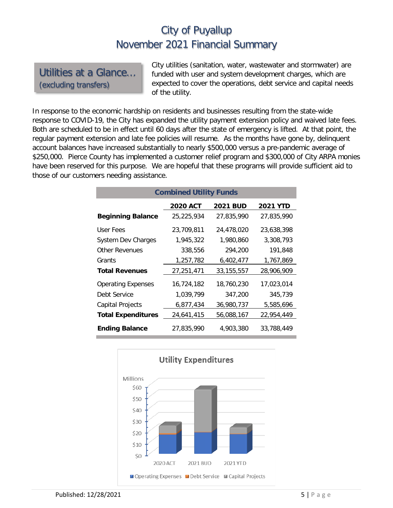Utilities at a Glance… (excluding transfers)

City utilities (sanitation, water, wastewater and stormwater) are funded with user and system development charges, which are expected to cover the operations, debt service and capital needs of the utility.

In response to the economic hardship on residents and businesses resulting from the state-wide response to COVID-19, the City has expanded the utility payment extension policy and waived late fees. Both are scheduled to be in effect until 60 days after the state of emergency is lifted. At that point, the regular payment extension and late fee policies will resume. As the months have gone by, delinquent account balances have increased substantially to nearly \$500,000 versus a pre-pandemic average of \$250,000. Pierce County has implemented a customer relief program and \$300,000 of City ARPA monies have been reserved for this purpose. We are hopeful that these programs will provide sufficient aid to those of our customers needing assistance.

| <b>Combined Utility Funds</b> |                 |                 |                 |  |  |  |  |
|-------------------------------|-----------------|-----------------|-----------------|--|--|--|--|
|                               | <b>2020 ACT</b> | <b>2021 BUD</b> | <b>2021 YTD</b> |  |  |  |  |
| <b>Beginning Balance</b>      | 25,225,934      | 27,835,990      | 27,835,990      |  |  |  |  |
| User Fees                     | 23,709,811      | 24,478,020      | 23,638,398      |  |  |  |  |
| <b>System Dev Charges</b>     | 1,945,322       | 1,980,860       | 3,308,793       |  |  |  |  |
| <b>Other Revenues</b>         | 338,556         | 294,200         | 191.848         |  |  |  |  |
| Grants                        | 1,257,782       | 6,402,477       | 1,767,869       |  |  |  |  |
| <b>Total Revenues</b>         | 27,251,471      | 33, 155, 557    | 28,906,909      |  |  |  |  |
| <b>Operating Expenses</b>     | 16,724,182      | 18,760,230      | 17,023,014      |  |  |  |  |
| Debt Service                  | 1,039,799       | 347,200         | 345,739         |  |  |  |  |
| <b>Capital Projects</b>       | 6,877,434       | 36,980,737      | 5,585,696       |  |  |  |  |
| <b>Total Expenditures</b>     | 24,641,415      | 56,088,167      | 22,954,449      |  |  |  |  |
| <b>Ending Balance</b>         | 27,835,990      | 4,903,380       | 33,788,449      |  |  |  |  |

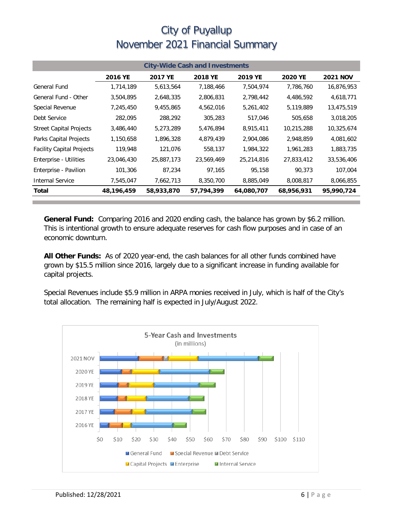| <b>City-Wide Cash and Investments</b> |            |            |            |            |                |                 |  |
|---------------------------------------|------------|------------|------------|------------|----------------|-----------------|--|
|                                       | 2016 YE    | 2017 YE    | 2018 YE    | 2019 YE    | <b>2020 YE</b> | <b>2021 NOV</b> |  |
| <b>General Fund</b>                   | 1,714,189  | 5,613,564  | 7,188,466  | 7,504,974  | 7,786,760      | 16,876,953      |  |
| General Fund - Other                  | 3,504,895  | 2,648,335  | 2,806,831  | 2,798,442  | 4,486,592      | 4,618,771       |  |
| Special Revenue                       | 7,245,450  | 9,455,865  | 4,562,016  | 5,261,402  | 5,119,889      | 13,475,519      |  |
| Debt Service                          | 282,095    | 288,292    | 305,283    | 517,046    | 505,658        | 3,018,205       |  |
| <b>Street Capital Projects</b>        | 3,486,440  | 5,273,289  | 5,476,894  | 8,915,411  | 10,215,288     | 10,325,674      |  |
| Parks Capital Projects                | 1,150,658  | 1,896,328  | 4,879,439  | 2,904,086  | 2,948,859      | 4,081,602       |  |
| <b>Facility Capital Projects</b>      | 119,948    | 121,076    | 558,137    | 1,984,322  | 1,961,283      | 1,883,735       |  |
| Enterprise - Utilities                | 23,046,430 | 25,887,173 | 23,569,469 | 25,214,816 | 27,833,412     | 33,536,406      |  |
| Enterprise - Pavilion                 | 101,306    | 87,234     | 97,165     | 95,158     | 90,373         | 107,004         |  |
| Internal Service                      | 7,545,047  | 7,662,713  | 8,350,700  | 8,885,049  | 8,008,817      | 8,066,855       |  |
| Total                                 | 48,196,459 | 58,933,870 | 57,794,399 | 64,080,707 | 68,956,931     | 95,990,724      |  |

**General Fund:** Comparing 2016 and 2020 ending cash, the balance has grown by \$6.2 million. This is intentional growth to ensure adequate reserves for cash flow purposes and in case of an economic downturn.

**All Other Funds:** As of 2020 year-end, the cash balances for all other funds combined have grown by \$15.5 million since 2016, largely due to a significant increase in funding available for capital projects.

Special Revenues include \$5.9 million in ARPA monies received in July, which is half of the City's total allocation. The remaining half is expected in July/August 2022.